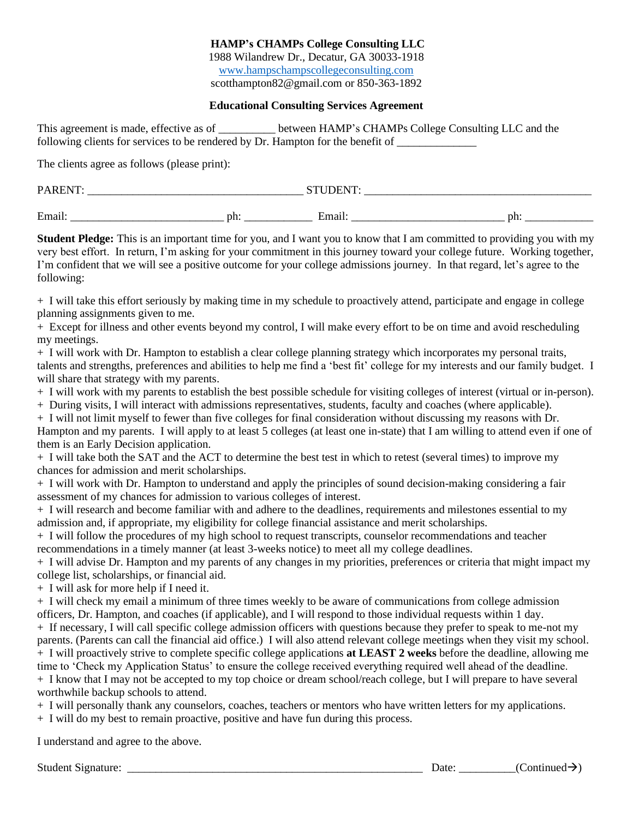#### **HAMP's CHAMPs College Consulting LLC** 1988 Wilandrew Dr., Decatur, GA 30033-1918 [www.hampschampscollegeconsulting.com](http://www.hampschampscollegeconsulting.com/) scotthampton82@gmail.com or 850-363-1892

#### **Educational Consulting Services Agreement**

| This agreement is made, effective as of                                           | between HAMP's CHAMPs College Consulting LLC and the |
|-----------------------------------------------------------------------------------|------------------------------------------------------|
| following clients for services to be rendered by Dr. Hampton for the benefit of _ |                                                      |

The clients agree as follows (please print):

| PARENT: | ້   | <b>STILIDENT</b> |     |
|---------|-----|------------------|-----|
| Email:  | ph. | Email:           | ph: |

**Student Pledge:** This is an important time for you, and I want you to know that I am committed to providing you with my very best effort. In return, I'm asking for your commitment in this journey toward your college future. Working together, I'm confident that we will see a positive outcome for your college admissions journey. In that regard, let's agree to the following:

+ I will take this effort seriously by making time in my schedule to proactively attend, participate and engage in college planning assignments given to me.

+ Except for illness and other events beyond my control, I will make every effort to be on time and avoid rescheduling my meetings.

+ I will work with Dr. Hampton to establish a clear college planning strategy which incorporates my personal traits, talents and strengths, preferences and abilities to help me find a 'best fit' college for my interests and our family budget. I will share that strategy with my parents.

+ I will work with my parents to establish the best possible schedule for visiting colleges of interest (virtual or in-person).

+ During visits, I will interact with admissions representatives, students, faculty and coaches (where applicable).

+ I will not limit myself to fewer than five colleges for final consideration without discussing my reasons with Dr. Hampton and my parents. I will apply to at least 5 colleges (at least one in-state) that I am willing to attend even if one of them is an Early Decision application.

+ I will take both the SAT and the ACT to determine the best test in which to retest (several times) to improve my chances for admission and merit scholarships.

+ I will work with Dr. Hampton to understand and apply the principles of sound decision-making considering a fair assessment of my chances for admission to various colleges of interest.

+ I will research and become familiar with and adhere to the deadlines, requirements and milestones essential to my admission and, if appropriate, my eligibility for college financial assistance and merit scholarships.

+ I will follow the procedures of my high school to request transcripts, counselor recommendations and teacher recommendations in a timely manner (at least 3-weeks notice) to meet all my college deadlines.

+ I will advise Dr. Hampton and my parents of any changes in my priorities, preferences or criteria that might impact my college list, scholarships, or financial aid.

+ I will ask for more help if I need it.

+ I will check my email a minimum of three times weekly to be aware of communications from college admission officers, Dr. Hampton, and coaches (if applicable), and I will respond to those individual requests within 1 day.

+ If necessary, I will call specific college admission officers with questions because they prefer to speak to me-not my parents. (Parents can call the financial aid office.) I will also attend relevant college meetings when they visit my school. + I will proactively strive to complete specific college applications **at LEAST 2 weeks** before the deadline, allowing me time to 'Check my Application Status' to ensure the college received everything required well ahead of the deadline.

+ I know that I may not be accepted to my top choice or dream school/reach college, but I will prepare to have several worthwhile backup schools to attend.

+ I will personally thank any counselors, coaches, teachers or mentors who have written letters for my applications.

+ I will do my best to remain proactive, positive and have fun during this process.

I understand and agree to the above.

Student Signature: \_\_\_\_\_\_\_\_\_\_\_\_\_\_\_\_\_\_\_\_\_\_\_\_\_\_\_\_\_\_\_\_\_\_\_\_\_\_\_\_\_\_\_\_\_\_\_\_\_\_\_\_ Date: \_\_\_\_\_\_\_\_\_\_(Continued→)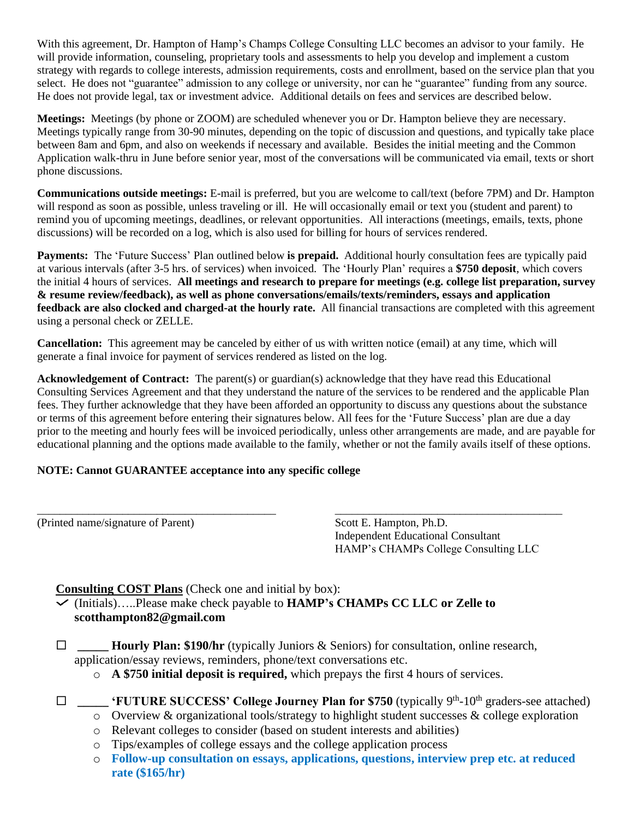With this agreement, Dr. Hampton of Hamp's Champs College Consulting LLC becomes an advisor to your family. He will provide information, counseling, proprietary tools and assessments to help you develop and implement a custom strategy with regards to college interests, admission requirements, costs and enrollment, based on the service plan that you select. He does not "guarantee" admission to any college or university, nor can he "guarantee" funding from any source. He does not provide legal, tax or investment advice. Additional details on fees and services are described below.

**Meetings:** Meetings (by phone or ZOOM) are scheduled whenever you or Dr. Hampton believe they are necessary. Meetings typically range from 30-90 minutes, depending on the topic of discussion and questions, and typically take place between 8am and 6pm, and also on weekends if necessary and available. Besides the initial meeting and the Common Application walk-thru in June before senior year, most of the conversations will be communicated via email, texts or short phone discussions.

**Communications outside meetings:** E-mail is preferred, but you are welcome to call/text (before 7PM) and Dr. Hampton will respond as soon as possible, unless traveling or ill. He will occasionally email or text you (student and parent) to remind you of upcoming meetings, deadlines, or relevant opportunities. All interactions (meetings, emails, texts, phone discussions) will be recorded on a log, which is also used for billing for hours of services rendered.

**Payments:** The 'Future Success' Plan outlined below **is prepaid.** Additional hourly consultation fees are typically paid at various intervals (after 3-5 hrs. of services) when invoiced. The 'Hourly Plan' requires a **\$750 deposit**, which covers the initial 4 hours of services. **All meetings and research to prepare for meetings (e.g. college list preparation, survey & resume review/feedback), as well as phone conversations/emails/texts/reminders, essays and application feedback are also clocked and charged-at the hourly rate.** All financial transactions are completed with this agreement using a personal check or ZELLE.

**Cancellation:** This agreement may be canceled by either of us with written notice (email) at any time, which will generate a final invoice for payment of services rendered as listed on the log.

**Acknowledgement of Contract:** The parent(s) or guardian(s) acknowledge that they have read this Educational Consulting Services Agreement and that they understand the nature of the services to be rendered and the applicable Plan fees. They further acknowledge that they have been afforded an opportunity to discuss any questions about the substance or terms of this agreement before entering their signatures below. All fees for the 'Future Success' plan are due a day prior to the meeting and hourly fees will be invoiced periodically, unless other arrangements are made, and are payable for educational planning and the options made available to the family, whether or not the family avails itself of these options.

### **NOTE: Cannot GUARANTEE acceptance into any specific college**

(Printed name/signature of Parent) Scott E. Hampton, Ph.D.

Independent Educational Consultant HAMP's CHAMPs College Consulting LLC

### **Consulting COST Plans** (Check one and initial by box):

(Initials)…..Please make check payable to **HAMP's CHAMPs CC LLC or Zelle to scotthampton82@gmail.com**

 $\Box$  **Hourly Plan: \$190/hr** (typically Juniors & Seniors) for consultation, online research, application/essay reviews, reminders, phone/text conversations etc.

\_\_\_\_\_\_\_\_\_\_\_\_\_\_\_\_\_\_\_\_\_\_\_\_\_\_\_\_\_\_\_\_\_\_\_\_\_\_\_\_\_\_ \_\_\_\_\_\_\_\_\_\_\_\_\_\_\_\_\_\_\_\_\_\_\_\_\_\_\_\_\_\_\_\_\_\_\_\_\_\_\_\_

- o **A \$750 initial deposit is required,** which prepays the first 4 hours of services.
- □ \_\_\_\_\_ 'FUTURE SUCCESS' College Journey Plan for \$750 (typically 9<sup>th</sup>-10<sup>th</sup> graders-see attached)
	- o Overview & organizational tools/strategy to highlight student successes & college exploration
	- o Relevant colleges to consider (based on student interests and abilities)
	- o Tips/examples of college essays and the college application process
	- o **Follow-up consultation on essays, applications, questions, interview prep etc. at reduced rate (\$165/hr)**